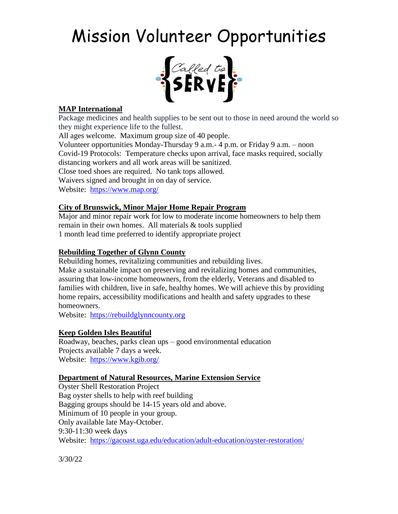# Mission Volunteer Opportunities



## **MAP International**

Package medicines and health supplies to be sent out to those in need around the world so they might experience life to the fullest.

All ages welcome. Maximum group size of 40 people.

Volunteer opportunities Monday-Thursday 9 a.m.- 4 p.m. or Friday 9 a.m. – noon Covid-19 Protocols: Temperature checks upon arrival, face masks required, socially distancing workers and all work areas will be sanitized. Close toed shoes are required. No tank tops allowed. Waivers signed and brought in on day of service. Website: <https://www.map.org/>

### **City of Brunswick, Minor Major Home Repair Program**

Major and minor repair work for low to moderate income homeowners to help them remain in their own homes. All materials & tools supplied 1 month lead time preferred to identify appropriate project

### **Rebuilding Together of Glynn County**

Rebuilding homes, revitalizing communities and rebuilding lives. Make a sustainable impact on preserving and revitalizing homes and communities, assuring that low-income homeowners, from the elderly, Veterans and disabled to families with children, live in safe, healthy homes. We will achieve this by providing home repairs, accessibility modifications and health and safety upgrades to these homeowners.

Website: [https://rebuildglynncounty.org](https://rebuildglynncounty.org/)

### **Keep Golden Isles Beautiful**

Roadway, beaches, parks clean ups – good environmental education Projects available 7 days a week. Website: <https://www.kgib.org/>

### **Department of Natural Resources, Marine Extension Service**

Oyster Shell Restoration Project Bag oyster shells to help with reef building Bagging groups should be 14-15 years old and above. Minimum of 10 people in your group. Only available late May-October. 9:30-11:30 week days Website: <https://gacoast.uga.edu/education/adult-education/oyster-restoration/>

3/30/22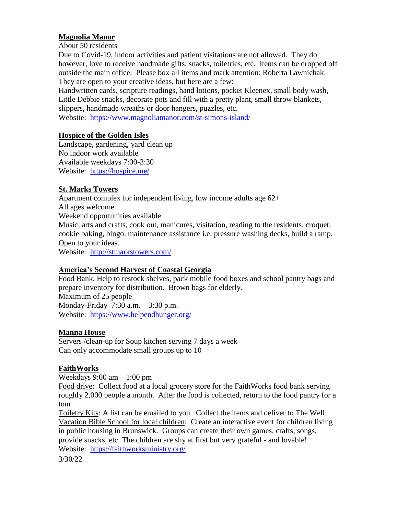#### **Magnolia Manor**

About 50 residents

Due to Covid-19, indoor activities and patient visitations are not allowed. They do however, love to receive handmade gifts, snacks, toiletries, etc. Items can be dropped off outside the main office. Please box all items and mark attention: Roberta Lawnichak. They are open to your creative ideas, but here are a few:

Handwritten cards, scripture readings, hand lotions, pocket Kleenex, small body wash, Little Debbie snacks, decorate pots and fill with a pretty plant, small throw blankets, slippers, handmade wreaths or door hangers, puzzles, etc. Website: <https://www.magnoliamanor.com/st-simons-island/>

#### **Hospice of the Golden Isles**

Landscape, gardening, yard clean up No indoor work available Available weekdays 7:00-3:30 Website: <https://hospice.me/>

### **St. Marks Towers**

Apartment complex for independent living, low income adults age 62+ All ages welcome Weekend opportunities available Music, arts and crafts, cook out, manicures, visitation, reading to the residents, croquet, cookie baking, bingo, maintenance assistance i.e. pressure washing decks, build a ramp. Open to your ideas. Website: <http://stmarkstowers.com/>

#### **America's Second Harvest of Coastal Georgia**

Food Bank. Help to restock shelves, pack mobile food boxes and school pantry bags and prepare inventory for distribution. Brown bags for elderly. Maximum of 25 people Monday-Friday 7:30 a.m. – 3:30 p.m. Website: <https://www.helpendhunger.org/>

### **Manna House**

Servers /clean-up for Soup kitchen serving 7 days a week Can only accommodate small groups up to 10

### **FaithWorks**

Weekdays  $9:00 \text{ am} - 1:00 \text{ pm}$ 

Food drive: Collect food at a local grocery store for the FaithWorks food bank serving roughly 2,000 people a month. After the food is collected, return to the food pantry for a tour.

Toiletry Kits: A list can be emailed to you. Collect the items and deliver to The Well. Vacation Bible School for local children: Create an interactive event for children living in public housing in Brunswick. Groups can create their own games, crafts, songs, provide snacks, etc. The children are shy at first but very grateful - and lovable! Website: <https://faithworksministry.org/>

3/30/22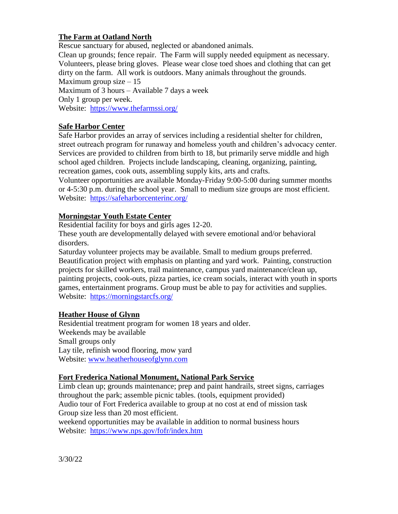## **The Farm at Oatland North**

Rescue sanctuary for abused, neglected or abandoned animals. Clean up grounds; fence repair. The Farm will supply needed equipment as necessary. Volunteers, please bring gloves. Please wear close toed shoes and clothing that can get dirty on the farm. All work is outdoors. Many animals throughout the grounds. Maximum group size  $-15$ Maximum of 3 hours – Available 7 days a week Only 1 group per week. Website: <https://www.thefarmssi.org/>

## **Safe Harbor Center**

Safe Harbor provides an array of services including a residential shelter for children, street outreach program for runaway and homeless youth and children's advocacy center. Services are provided to children from birth to 18, but primarily serve middle and high school aged children. Projects include landscaping, cleaning, organizing, painting, recreation games, cook outs, assembling supply kits, arts and crafts.

Volunteer opportunities are available Monday-Friday 9:00-5:00 during summer months or 4-5:30 p.m. during the school year. Small to medium size groups are most efficient. Website: <https://safeharborcenterinc.org/>

## **Morningstar Youth Estate Center**

Residential facility for boys and girls ages 12-20.

These youth are developmentally delayed with severe emotional and/or behavioral disorders.

Saturday volunteer projects may be available. Small to medium groups preferred. Beautification project with emphasis on planting and yard work. Painting, construction projects for skilled workers, trail maintenance, campus yard maintenance/clean up, painting projects, cook-outs, pizza parties, ice cream socials, interact with youth in sports games, entertainment programs. Group must be able to pay for activities and supplies. Website: <https://morningstarcfs.org/>

### **Heather House of Glynn**

Residential treatment program for women 18 years and older. Weekends may be available Small groups only Lay tile, refinish wood flooring, mow yard Website: [www.heatherhouseofglynn.com](http://www.heatherhouseofglynn.com/)

### **Fort Frederica National Monument, National Park Service**

Limb clean up; grounds maintenance; prep and paint handrails, street signs, carriages throughout the park; assemble picnic tables. (tools, equipment provided) Audio tour of Fort Frederica available to group at no cost at end of mission task Group size less than 20 most efficient. weekend opportunities may be available in addition to normal business hours

Website: <https://www.nps.gov/fofr/index.htm>